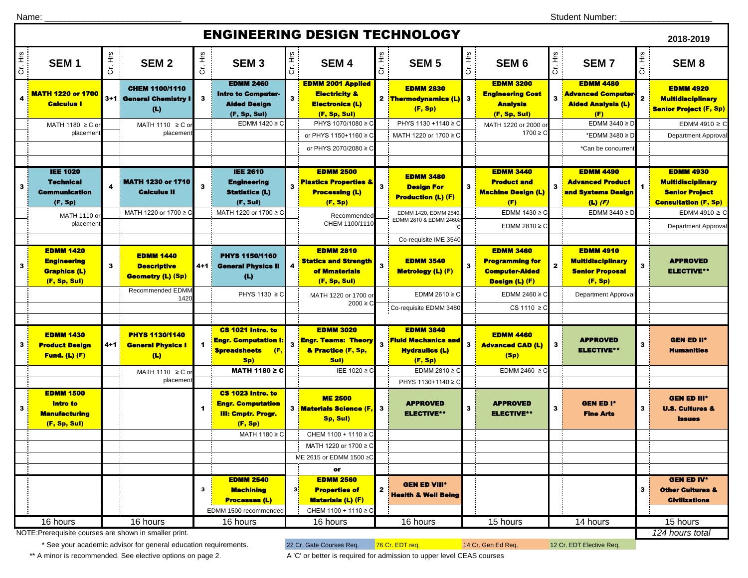## ENGINEERING DESIGN TECHNOLOGY

|                |                                                                               |                       |                                                                    |                         |                                                                                       |         | ENGINEERING DESIGN TECHNOLOGT                                                                  |                         |                                                                                    |              |                                                                                       |              |                                                                                   |              | 2018-2019                                                                                            |
|----------------|-------------------------------------------------------------------------------|-----------------------|--------------------------------------------------------------------|-------------------------|---------------------------------------------------------------------------------------|---------|------------------------------------------------------------------------------------------------|-------------------------|------------------------------------------------------------------------------------|--------------|---------------------------------------------------------------------------------------|--------------|-----------------------------------------------------------------------------------|--------------|------------------------------------------------------------------------------------------------------|
| Cr. Hrs        | SEM <sub>1</sub>                                                              | Cr. Hrs               | SEM <sub>2</sub>                                                   | Cr. Hrs                 | SEM <sub>3</sub>                                                                      | Cr. Hrs | SEM <sub>4</sub>                                                                               | Cr. Hrs                 | SEM <sub>5</sub>                                                                   | Cr. Hrs      | SEM <sub>6</sub>                                                                      | Cr. Hrs      | <b>SEM7</b>                                                                       | Cr. Hrs      | SEM <sub>8</sub>                                                                                     |
|                | <b>MATH 1220 or 1700</b><br><b>Calculus I</b>                                 |                       | <b>CHEM 1100/1110</b><br>3+1 : General Chemistry I<br>(L)          | $\mathbf{3}$            | <b>EDMM 2460</b><br><b>Intro to Computer-</b><br><b>Alded Design</b><br>(F, Sp, Sul)  | 3       | <b>EDMM 2001 Applied</b><br><b>Electricity &amp;</b><br><b>Electronics (L)</b><br>(F, Sp, Sul) |                         | <b>EDMM 2830</b><br>2 Thermodynamics (L)<br>(F, Sp)                                | 3            | <b>EDMM 3200</b><br><b>Engineering Cost</b><br><b>Analysis</b><br>(F, Sp, Sul)        |              | <b>EDMM 4480</b><br><b>Advanced Computer</b><br><b>Alded Analysis (L)</b><br>(F)  | $\mathbf{z}$ | <b>EDMM 4920</b><br><b>Multidisciplinary</b><br><b>Senior Project (F, Sp)</b>                        |
|                | MATH 1180 ≥ C or                                                              |                       | MATH 1110 $\geq$ C or                                              |                         | EDMM $1420 \ge C$                                                                     |         | PHYS 1070/1080 ≥ C                                                                             |                         | PHYS 1130 +1140 ≥ C                                                                |              | MATH 1220 or 2000 or                                                                  |              | EDMM 3440 $\geq$ D                                                                |              | EDMM 4910 $\geq$ C                                                                                   |
|                | placemen                                                                      |                       | placemen                                                           |                         |                                                                                       |         | or PHYS 1150+1160 ≥ C                                                                          |                         | MATH 1220 or 1700 ≥ 0                                                              |              | $1700 \ge C$                                                                          |              | *EDMM 3480 ≥ D                                                                    |              | <b>Department Approval</b>                                                                           |
|                |                                                                               |                       |                                                                    |                         |                                                                                       |         | or PHYS 2070/2080 ≥ C                                                                          |                         |                                                                                    |              |                                                                                       |              | *Can be concurrent                                                                |              |                                                                                                      |
|                |                                                                               |                       |                                                                    |                         |                                                                                       |         |                                                                                                |                         |                                                                                    |              |                                                                                       |              |                                                                                   |              |                                                                                                      |
| $\mathbf{3}$   | <b>IEE 1020</b><br><b>Technical</b><br><b>Communication</b><br>(F, Sp)        | 4                     | <b>MATH 1230 or 1710</b><br><b>Calculus II</b>                     | 3                       | <b>IEE 2610</b><br><b>Engineering</b><br><b>Statistics (L)</b><br>(F, Sul)            | 3       | <b>EDMM 2500</b><br><b>Plastics Properties &amp;</b><br><b>Processing (L)</b><br>(F, Sp)       | 3:                      | <b>EDMM 3480</b><br><b>Design For</b><br><b>Production (L) (F)</b>                 | $\mathbf{3}$ | <b>EDMM 3440</b><br><b>Product and</b><br><b>Machine Design (L)</b><br>(F)            | 3            | <b>EDMM 4490</b><br><b>Advanced Product</b><br>and Systems Design<br>$(L)$ (F)    | 1            | <b>EDMM 4930</b><br><b>Multidisciplinary</b><br><b>Senior Project</b><br><b>Consultation (F, Sp)</b> |
|                | MATH 1110 or                                                                  | MATH 1220 or 1700 ≥ C |                                                                    |                         | MATH 1220 or 1700 ≥ C                                                                 |         | Recommended                                                                                    |                         | EDMM 1420, EDMM 2540<br>EDMM 2810 & EDMM 2460                                      |              | EDMM 1430 ≥ C                                                                         |              | EDMM 3440 $\geq$ D                                                                |              | EDMM 4910 $\geq$ C                                                                                   |
|                | placement                                                                     |                       |                                                                    |                         |                                                                                       |         | CHEM 1100/1110                                                                                 |                         |                                                                                    |              | EDMM 2810 $\geq$ C                                                                    |              |                                                                                   |              | Department Approval                                                                                  |
|                |                                                                               |                       |                                                                    |                         |                                                                                       |         |                                                                                                |                         | Co-requisite IME 3540                                                              |              |                                                                                       |              |                                                                                   |              |                                                                                                      |
| 3 <sup>1</sup> | <b>EDMM 1420</b><br><b>Engineering</b><br><b>Graphics (L)</b><br>(F, Sp, Sul) | 3                     | <b>EDMM 1440</b><br><b>Descriptive</b><br><b>Geometry (L) (Sp)</b> | 4+1                     | PHYS 1150/1160<br><b>General Physics II</b><br>(L)                                    | 4       | <b>EDMM 2810</b><br><b>Statics and Strength</b><br>of Mmaterials<br>(F, Sp, Sul)               | $\overline{\mathbf{3}}$ | <b>EDMM 3540</b><br><b>Metrology (L) (F)</b>                                       | $\mathbf{3}$ | <b>EDMM 3460</b><br><b>Programming for</b><br><b>Computer-Aided</b><br>Design (L) (F) | $\mathbf{2}$ | <b>EDMM 4910</b><br><b>Multidisciplinary</b><br><b>Senior Proposal</b><br>(F, Sp) | 3            | <b>APPROVED</b><br><b>ELECTIVE**</b>                                                                 |
|                |                                                                               |                       | Recommended EDMM<br>1420                                           |                         | PHYS 1130 ≥ C                                                                         |         | MATH 1220 or 1700 or                                                                           |                         | EDMM 2610 $\geq$ C                                                                 |              | EDMM 2460 $\geq$ C                                                                    |              | Department Approval                                                               |              |                                                                                                      |
|                |                                                                               |                       |                                                                    |                         |                                                                                       |         | $2000 \ge C$                                                                                   |                         | Co-requisite EDMM 3480                                                             |              | CS 1110 $\geq$ C                                                                      |              |                                                                                   |              |                                                                                                      |
|                |                                                                               |                       |                                                                    |                         |                                                                                       |         |                                                                                                |                         |                                                                                    |              |                                                                                       |              |                                                                                   |              |                                                                                                      |
| 3              | <b>EDMM 1430</b><br><b>Product Design</b><br><b>Fund. (L) (F)</b>             | 4+1 <mark>.</mark>    | <b>PHYS 1130/1140</b><br><b>General Physics I</b><br>(L)           | $\overline{\mathbf{1}}$ | CS 1021 Intro. to<br><b>Engr. Computation I:</b><br>(F,<br><b>Spreadsheets</b><br>Sp) | 3       | <b>EDMM 3020</b><br><b>Engr. Teams: Theory</b><br>& Practice (F, Sp,<br>Sul)                   | $\mathbf{3}$            | <b>EDMM 3840</b><br><b>Fluid Mechanics and</b><br><b>Hydraulics (L)</b><br>(F, Sp) | $\mathbf{3}$ | <b>EDMM 4460</b><br><b>Advanced CAD (L)</b><br>(Sp)                                   | $\mathbf{3}$ | <b>APPROVED</b><br><b>ELECTIVE**</b>                                              | 3            | <b>GEN ED II*</b><br><b>Humanities</b>                                                               |
|                |                                                                               |                       | MATH 1110 $\geq$ C or                                              |                         | MATH 1180 ≥ C                                                                         |         | IEE 1020 ≥ C                                                                                   |                         | EDMM 2810 $\geq$ C                                                                 |              | EDMM 2460 $\geq$ C                                                                    |              |                                                                                   |              |                                                                                                      |
|                |                                                                               |                       | placemen                                                           |                         |                                                                                       |         |                                                                                                |                         | PHYS 1130+1140 ≥ C                                                                 |              |                                                                                       |              |                                                                                   |              |                                                                                                      |
| $\mathbf{3}$   | <b>EDMM 1500</b><br><b>Intro to</b><br><b>Manufacturing</b><br>(F, Sp, Sul)   |                       |                                                                    |                         | CS 1023 Intro. to<br><b>Engr. Computation</b><br><b>Ill: Cmptr. Progr.</b><br>(F, Sp) |         | <b>ME 2500</b><br>3 Materials Science (F,<br>Sp, Sul)                                          | $\mathbf{3}$            | <b>APPROVED</b><br><b>ELECTIVE**</b>                                               | 3            | <b>APPROVED</b><br><b>ELECTIVE**</b>                                                  | 3            | <b>GEN ED I*</b><br><b>Fine Arts</b>                                              | 3            | <b>GEN ED III*</b><br><b>U.S. Cultures &amp;</b><br><b>Issues</b>                                    |
|                |                                                                               |                       |                                                                    |                         | MATH 1180 ≥ C                                                                         |         | CHEM 1100 + 1110 ≥ C                                                                           |                         |                                                                                    |              |                                                                                       |              |                                                                                   |              |                                                                                                      |
|                |                                                                               |                       |                                                                    |                         |                                                                                       |         | MATH 1220 or 1700 ≥ C                                                                          |                         |                                                                                    |              |                                                                                       |              |                                                                                   |              |                                                                                                      |
|                |                                                                               |                       |                                                                    |                         |                                                                                       |         | ME 2615 or EDMM 1500 ≥0                                                                        |                         |                                                                                    |              |                                                                                       |              |                                                                                   |              |                                                                                                      |
|                |                                                                               |                       |                                                                    |                         |                                                                                       |         | or                                                                                             |                         |                                                                                    |              |                                                                                       |              |                                                                                   |              |                                                                                                      |
|                |                                                                               |                       |                                                                    | 3                       | <b>EDMM 2540</b><br><b>Machining</b><br><b>Processes (L)</b>                          | 31      | <b>EDMM 2560</b><br><b>Properties of</b><br><b>Materials (L) (F)</b>                           | $\mathbf{2}$            | <b>GEN ED VIII*</b><br><b>Health &amp; Well Being</b>                              |              |                                                                                       |              |                                                                                   | 3            | <b>GEN ED IV*</b><br><b>Other Cultures &amp;</b><br><b>Civilizations</b>                             |
|                |                                                                               |                       |                                                                    |                         | EDMM 1500 recommended                                                                 |         | CHEM 1100 + 1110 ≥ C                                                                           |                         |                                                                                    |              |                                                                                       |              |                                                                                   |              |                                                                                                      |
|                | 16 hours                                                                      |                       | 16 hours                                                           |                         | 16 hours                                                                              |         | 16 hours                                                                                       |                         | 16 hours                                                                           |              | 15 hours                                                                              |              | 14 hours                                                                          |              | 15 hours                                                                                             |
|                | NOTE: Prerequisite courses are shown in smaller print.                        |                       |                                                                    |                         |                                                                                       |         |                                                                                                |                         |                                                                                    |              |                                                                                       |              |                                                                                   |              | 124 hours total                                                                                      |

\* See your academic advisor for general education requirements. 22 Cr. Gate Courses Req. 76 Cr. EDT req. 14 Cr. Gen Ed Req. 12 Cr. EDT Elective Req.

\*\* A minor is recommended. See elective options on page 2. <br>A 'C' or better is required for admission to upper level CEAS courses